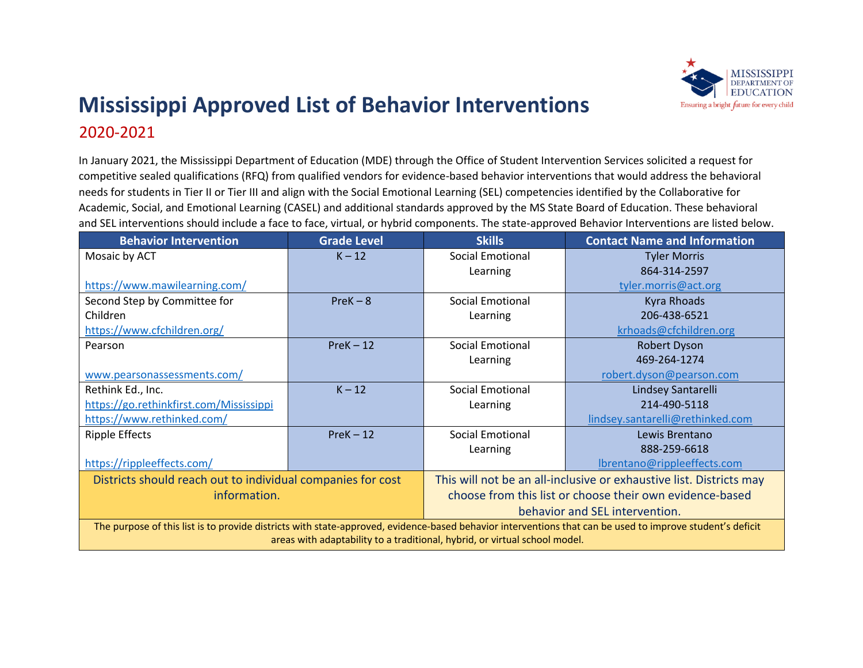

## **Mississippi Approved List of Behavior Interventions**  2020-2021

In January 2021, the Mississippi Department of Education (MDE) through the Office of Student Intervention Services solicited a request for competitive sealed qualifications (RFQ) from qualified vendors for evidence-based behavior interventions that would address the behavioral needs for students in Tier II or Tier III and align with the Social Emotional Learning (SEL) competencies identified by the Collaborative for Academic, Social, and Emotional Learning (CASEL) and additional standards approved by the MS State Board of Education. These behavioral and SEL interventions should include a face to face, virtual, or hybrid components. The state-approved Behavior Interventions are listed below.

| <b>Behavior Intervention</b>                                                                                                                              | <b>Grade Level</b> | <b>Skills</b>                                                       | <b>Contact Name and Information</b> |
|-----------------------------------------------------------------------------------------------------------------------------------------------------------|--------------------|---------------------------------------------------------------------|-------------------------------------|
| Mosaic by ACT                                                                                                                                             | $K - 12$           | <b>Social Emotional</b>                                             | <b>Tyler Morris</b>                 |
|                                                                                                                                                           |                    | Learning                                                            | 864-314-2597                        |
| https://www.mawilearning.com/                                                                                                                             |                    |                                                                     | tyler.morris@act.org                |
| Second Step by Committee for                                                                                                                              | $PreK - 8$         | <b>Social Emotional</b>                                             | <b>Kyra Rhoads</b>                  |
| Children                                                                                                                                                  |                    | Learning                                                            | 206-438-6521                        |
| https://www.cfchildren.org/                                                                                                                               |                    |                                                                     | krhoads@cfchildren.org              |
| Pearson                                                                                                                                                   | $PreK - 12$        | Social Emotional                                                    | Robert Dyson                        |
|                                                                                                                                                           |                    | Learning                                                            | 469-264-1274                        |
| www.pearsonassessments.com/                                                                                                                               |                    |                                                                     | robert.dyson@pearson.com            |
| Rethink Ed., Inc.                                                                                                                                         | $K - 12$           | Social Emotional                                                    | Lindsey Santarelli                  |
| https://go.rethinkfirst.com/Mississippi                                                                                                                   |                    | Learning                                                            | 214-490-5118                        |
| https://www.rethinked.com/                                                                                                                                |                    |                                                                     | lindsey.santarelli@rethinked.com    |
| <b>Ripple Effects</b>                                                                                                                                     | $PreK - 12$        | <b>Social Emotional</b>                                             | Lewis Brentano                      |
|                                                                                                                                                           |                    | Learning                                                            | 888-259-6618                        |
| https://rippleeffects.com/                                                                                                                                |                    |                                                                     | lbrentano@rippleeffects.com         |
| Districts should reach out to individual companies for cost                                                                                               |                    | This will not be an all-inclusive or exhaustive list. Districts may |                                     |
| information.                                                                                                                                              |                    | choose from this list or choose their own evidence-based            |                                     |
|                                                                                                                                                           |                    | behavior and SEL intervention.                                      |                                     |
| The purpose of this list is to provide districts with state-approved, evidence-based behavior interventions that can be used to improve student's deficit |                    |                                                                     |                                     |
| areas with adaptability to a traditional, hybrid, or virtual school model.                                                                                |                    |                                                                     |                                     |